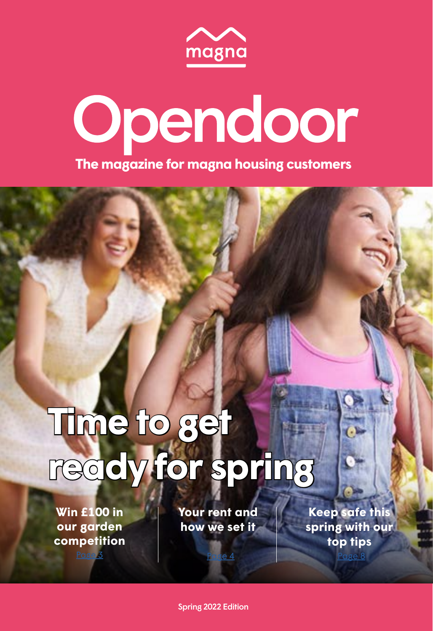

# Opendoor **The magazine for magna housing customers**

# **Time to get ready for spring**

**Win £100 in our garden [competition](#page-1-0)**

[Page 3](#page-1-0)

**[Your rent and](#page-6-0)  how we set it**

[Page 4](#page-2-0)

**Keep safe this [spring with our](#page-10-0)  top tips**

[Page 8](#page-4-0)

Spring 2022 Edition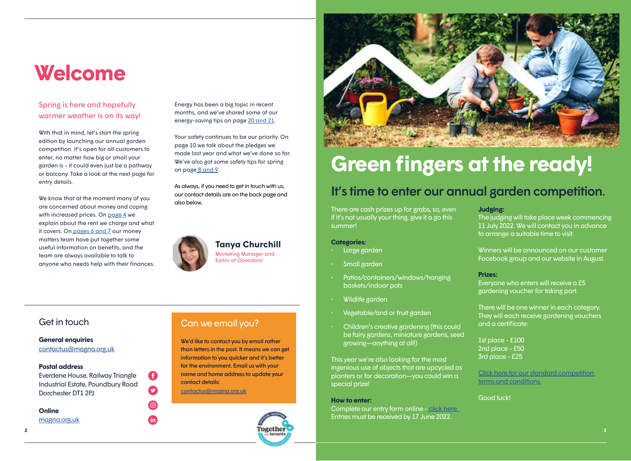### <span id="page-1-0"></span>**Welcome**

### Spring is here and hopefully warmer weather is on its way!

With that in mind, let's start the spring edition by launching our annual garden competition. It's open for all customers to enter, no matter how big or small your garden is - it could even just be a pathway or balcony. Take a look at the next page for entry details.

We know that at the moment many of you are concerned about money and coping with increased prices. On [page 4](#page-2-0) we explain about the rent we charge and what it covers. O[n pages 6 and 7](#page-3-0) our money matters team have put together some useful information on benefits, and the team are always available to talk to anyone who needs help with their finances.

Energy has been a big topic in recent months, and we've shared some of our energy-saving tips on page [20 and 21.](#page-10-0)

Your safety continues to be our priority. On page 10 we talk about the pledges we made last year and what we've done so far. We've also got some safety tips for spring on pag[e 8 and 9](#page-4-0).

As always, if you need to get in touch with us, our contact details are on the back page and also below.



### **Tanya Churchill**

Marketing Manager and Editor of Opendoor



## **Green fingers at the ready!**

### It's time to enter our annual garden competition.

There are cash prizes up for grabs, so, even if it's not usually your thing, give it a go this summer!

### **Categories:**

- Large garden
- Small garden
- Patios/containers/windows/hanging baskets/indoor pots
- Wildlife garden
- Vegetable/and or fruit garden
- Children's creative gardening (this could be fairy gardens, miniature gardens, seed growing—anything at all!)

This year we're also looking for the most ingenious use of objects that are upcycled as planters or for decoration—you could win a special prize!

#### **How to enter:**

Complete our entry form online [- click here.](https://www.magna.org.uk/community/get-involved-at-magna/competitions)  Entries must be received by 17 June 2022.

#### **Judging:**

The judging will take place week commencing 11 July 2022. We will contact you in advance to arrange a suitable time to visit.

Winners will be announced on our customer Facebook group and our website in August.

### **Prizes:**

Everyone who enters will receive a £5 gardening voucher for taking part.

There will be one winner in each category. They will each receive gardening vouchers and a certificate:

1st place - £100 2nd place - £50 3rd place - £25

[Click here for our standard competition](https://www.magna.org.uk/about-us/policy/competition-and-prize-draw-rules)  [terms and conditions.](https://www.magna.org.uk/about-us/policy/competition-and-prize-draw-rules)

Good luck!

### **General enquiries**

[contactus@magna.org.uk](mailto:contactus%40magna.org.uk?subject=)

### **Postal address**

Everdene House, Railway Triangle Industrial Estate, Poundbury Road Dorchester DT1 2PJ

G

 $\boldsymbol{\Omega}$ 

์ in

#### **Online**

**2**

[magna.org.uk](http://www.magna.org.uk)



### Get in touch Can we email you?

We'd like to contact you by email rather than letters in the post. It means we can get information to you quicker and it's better for the environment. Email us with your name and home address to update your contact details: [contactus@magna.org.uk](mailto:contactus%40magna.org.uk?subject=)

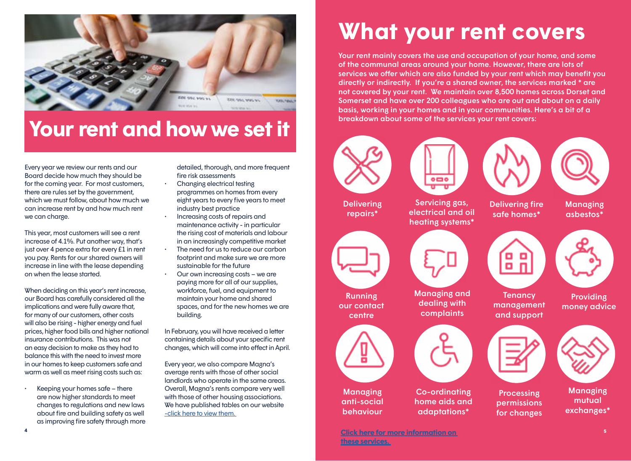<span id="page-2-0"></span>

### **Your rent and how we set it**

Every year we review our rents and our Board decide how much they should be for the coming year. For most customers, there are rules set by the government, which we must follow, about how much we can increase rent by and how much rent we can charge.

This year, most customers will see a rent increase of 4.1%. Put another way, that's just over 4 pence extra for every £1 in rent you pay. Rents for our shared owners will increase in line with the lease depending on when the lease started.

When deciding on this year's rent increase, our Board has carefully considered all the implications and were fully aware that, for many of our customers, other costs will also be rising - higher energy and fuel prices, higher food bills and higher national insurance contributions. This was not an easy decision to make as they had to balance this with the need to invest more in our homes to keep customers safe and warm as well as meet rising costs such as:

• Keeping your homes safe – there are now higher standards to meet changes to regulations and new laws about fire and building safety as well as improving fire safety through more detailed, thorough, and more frequent fire risk assessments

- Changing electrical testing programmes on homes from every eight years to every five years to meet industry best practice
- Increasing costs of repairs and maintenance activity - in particular the rising cost of materials and labour in an increasingly competitive market
- The need for us to reduce our carbon footprint and make sure we are more sustainable for the future
- Our own increasing costs we are paying more for all of our supplies, workforce, fuel, and equipment to maintain your home and shared spaces, and for the new homes we are building.

In February, you will have received a letter containing details about your specific rent changes, which will come into effect in April.

Every year, we also compare Magna's average rents with those of other social landlords who operate in the same areas. Overall, Magna's rents compare very well with those of other housing associations. We have published tables on our website [-click here to view them.](https://www.magna.org.uk/your-home/rent/how-our-rents-compare) 

# **What your rent covers**

Your rent mainly covers the use and occupation of your home, and some of the communal areas around your home. However, there are lots of services we offer which are also funded by your rent which may benefit you directly or indirectly. If you're a shared owner, the services marked \* are not covered by your rent. We maintain over 8,500 homes across Dorset and Somerset and have over 200 colleagues who are out and about on a daily basis, working in your homes and in your communities. Here's a bit of a breakdown about some of the services your rent covers:





electrical and oil heating systems\*

Delivering fire safe homes\*

88







**Tenancy** management and support

Providing money advice



**Processing** permissions for changes

Managing mutual exchanges\*

**4**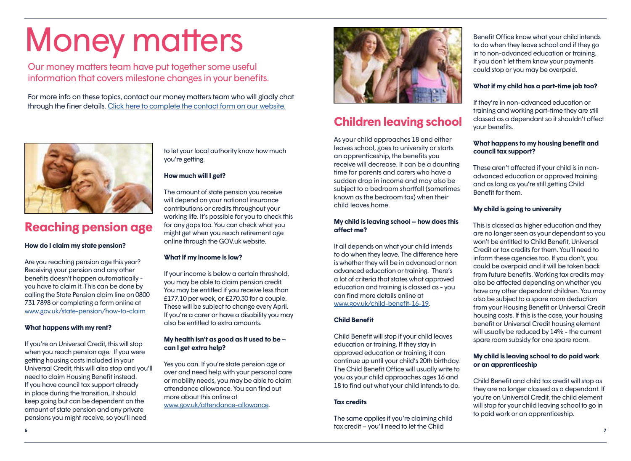# <span id="page-3-0"></span>Money matters

Our money matters team have put together some useful information that covers milestone changes in your benefits.

For more info on these topics, contact our money matters team who will gladly chat through the finer details. [Click here to complete the contact form on our website.](https://www.magna.org.uk/money-matters/money-benefits/money-matters-service)



### **Reaching pension age**

### **How do I claim my state pension?**

Are you reaching pension age this year? Receiving your pension and any other benefits doesn't happen automatically you have to claim it. This can be done by calling the State Pension claim line on 0800 731 7898 or completing a form online at [www.gov.uk/state-pension/how-to-claim](http://www.gov.uk/state-pension/how-to-claim)

### **What happens with my rent?**

If you're on Universal Credit, this will stop when you reach pension age. If you were getting housing costs included in your Universal Credit, this will also stop and you'll need to claim Housing Benefit instead. If you have council tax support already in place during the transition, it should keep going but can be dependent on the amount of state pension and any private pensions you might receive, so you'll need

to let your local authority know how much you're getting.

### **How much will I get?**

The amount of state pension you receive will depend on your national insurance contributions or credits throughout your working life. It's possible for you to check this for any gaps too. You can check what you might get when you reach retirement age online through the GOV.uk website.

### **What if my income is low?**

If your income is below a certain threshold, you may be able to claim pension credit. You may be entitled if you receive less than £177.10 per week, or £270.30 for a couple. These will be subject to change every April. If you're a carer or have a disability you may also be entitled to extra amounts.

### **My health isn't as good as it used to be – can I get extra help?**

Yes you can. If you're state pension age or over and need help with your personal care or mobility needs, you may be able to claim attendance allowance. You can find out more about this online at [www.gov.uk/attendance-allowance](http://www.gov.uk/attendance-allowance).



### **Children leaving school**

As your child approaches 18 and either leaves school, goes to university or starts an apprenticeship, the benefits you receive will decrease. It can be a daunting time for parents and carers who have a sudden drop in income and may also be subject to a bedroom shortfall (sometimes known as the bedroom tax) when their child leaves home.

### **My child is leaving school – how does this affect me?**

It all depends on what your child intends to do when they leave. The difference here is whether they will be in advanced or non advanced education or training. There's a lot of criteria that states what approved education and training is classed as - you can find more details online at [www.gov.uk/child-benefit-16-19.](http://www.gov.uk/child-benefit-16-19)

### **Child Benefit**

Child Benefit will stop if your child leaves education or training. If they stay in approved education or training, it can continue up until your child's 20th birthday. The Child Benefit Office will usually write to you as your child approaches ages 16 and 18 to find out what your child intends to do.

### **Tax credits**

**6 7** The same applies if you're claiming child tax credit – you'll need to let the Child

Benefit Office know what your child intends to do when they leave school and if they go in to non-advanced education or training. If you don't let them know your payments could stop or you may be overpaid.

### **What if my child has a part-time job too?**

If they're in non-advanced education or training and working part-time they are still classed as a dependant so it shouldn't affect your benefits.

### **What happens to my housing benefit and council tax support?**

These aren't affected if your child is in nonadvanced education or approved training and as long as you're still getting Child Benefit for them.

### **My child is going to university**

This is classed as higher education and they are no longer seen as your dependant so you won't be entitled to Child Benefit, Universal Credit or tax credits for them. You'll need to inform these agencies too. If you don't, you could be overpaid and it will be taken back from future benefits. Working tax credits may also be affected depending on whether you have any other dependant children. You may also be subject to a spare room deduction from your Housing Benefit or Universal Credit housing costs. If this is the case, your housing benefit or Universal Credit housing element will usually be reduced by 14% - the current spare room subsidy for one spare room.

### **My child is leaving school to do paid work or an apprenticeship**

Child Benefit and child tax credit will stop as they are no longer classed as a dependant. If you're on Universal Credit, the child element will stop for your child leaving school to go in to paid work or an apprenticeship.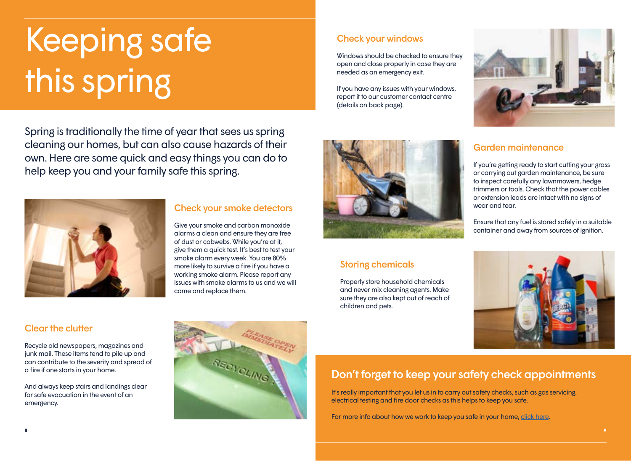# <span id="page-4-0"></span>Keeping safe this spring

Spring is traditionally the time of year that sees us spring cleaning our homes, but can also cause hazards of their own. Here are some quick and easy things you can do to help keep you and your family safe this spring.



### Check your smoke detectors

Give your smoke and carbon monoxide alarms a clean and ensure they are free of dust or cobwebs. While you're at it, give them a quick test. It's best to test your smoke alarm every week. You are 80% more likely to survive a fire if you have a working smoke alarm. Please report any issues with smoke alarms to us and we will come and replace them.

Check your windows

needed as an emergency exit.

(details on back page).

Windows should be checked to ensure they open and close properly in case they are

If you have any issues with your windows, report it to our customer contact centre

### Storing chemicals

Properly store household chemicals and never mix cleaning agents. Make sure they are also kept out of reach of children and pets.



### Garden maintenance

If you're getting ready to start cutting your grass or carrying out garden maintenance, be sure to inspect carefully any lawnmowers, hedge trimmers or tools. Check that the power cables or extension leads are intact with no signs of wear and tear.

Ensure that any fuel is stored safely in a suitable container and away from sources of ignition.



### Clear the clutter

Recycle old newspapers, magazines and junk mail. These items tend to pile up and can contribute to the severity and spread of a fire if one starts in your home.

And always keep stairs and landings clear for safe evacuation in the event of an emergency.



### Don't forget to keep your safety check appointments

It's really important that you let us in to carry out safety checks, such as gas servicing, electrical testing and fire door checks as this helps to keep you safe.

For more info about how we work to keep you safe in your home, [click here.](https://www.magna.org.uk/your-home/your-safety)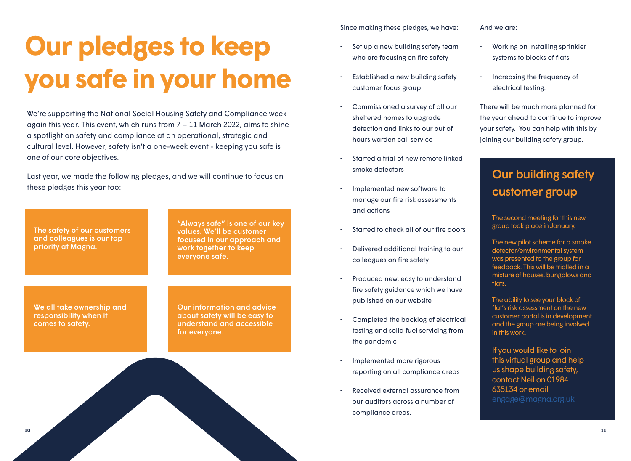# **Our pledges to keep you safe in your home**

We're supporting the National Social Housing Safety and Compliance week again this year. This event, which runs from  $7 - 11$  March 2022, aims to shine a spotlight on safety and compliance at an operational, strategic and cultural level. However, safety isn't a one-week event - keeping you safe is one of our core objectives.

Last year, we made the following pledges, and we will continue to focus on these pledges this year too:

The safety of our customers and colleagues is our top priority at Magna.

"Always safe" is one of our key values. We'll be customer focused in our approach and work together to keep everyone safe.

We all take ownership and responsibility when it comes to safety.

Our information and advice about safety will be easy to understand and accessible for everyone.

Since making these pledges, we have:

- Set up a new building safety team who are focusing on fire safety
- Established a new building safety customer focus group
- Commissioned a survey of all our sheltered homes to upgrade detection and links to our out of hours warden call service
- Started a trial of new remote linked smoke detectors
- Implemented new software to manage our fire risk assessments and actions
- Started to check all of our fire doors
- Delivered additional training to our colleagues on fire safety
- Produced new, easy to understand fire safety guidance which we have published on our website
- Completed the backlog of electrical testing and solid fuel servicing from the pandemic
- Implemented more rigorous reporting on all compliance areas
- Received external assurance from our auditors across a number of compliance areas.

And we are:

- Working on installing sprinkler systems to blocks of flats
- Increasing the frequency of electrical testing.

There will be much more planned for the year ahead to continue to improve your safety. You can help with this by joining our building safety group.

### Our building safety customer group

The second meeting for this new group took place in January.

The new pilot scheme for a smoke detector/environmental system was presented to the group for feedback. This will be trialled in a mixture of houses, bungalows and flats.

The ability to see your block of flat's risk assessment on the new customer portal is in development and the group are being involved in this work.

If you would like to join this virtual group and help us shape building safety, contact Neil on 01984 635134 or email

[engage@magna.org.uk](mailto:engage%40magna.org.uk?subject=)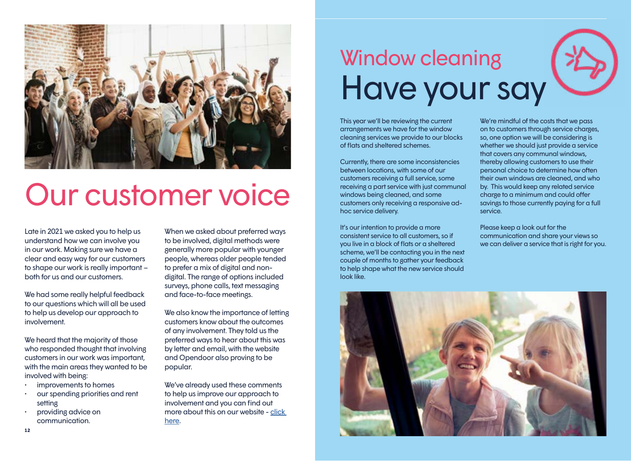<span id="page-6-0"></span>

# Our customer voice

Late in 2021 we asked you to help us understand how we can involve you in our work. Making sure we have a clear and easy way for our customers to shape our work is really important – both for us and our customers.

We had some really helpful feedback to our questions which will all be used to help us develop our approach to involvement.

We heard that the majority of those who responded thought that involving customers in our work was important, with the main areas they wanted to be involved with being:

- improvements to homes
- our spending priorities and rent setting
- providing advice on communication.

When we asked about preferred ways to be involved, digital methods were generally more popular with younger people, whereas older people tended to prefer a mix of digital and nondigital. The range of options included surveys, phone calls, text messaging and face-to-face meetings.

We also know the importance of letting customers know about the outcomes of any involvement. They told us the preferred ways to hear about this was by letter and email, with the website and Opendoor also proving to be popular.

We've already used these comments to help us improve our approach to involvement and you can find out more about this on our website - [click](https://www.magna.org.uk/community/get-involved-at-magna/your-views)  [here](https://www.magna.org.uk/community/get-involved-at-magna/your-views).

# Window cleaning Have your say

This year we'll be reviewing the current arrangements we have for the window cleaning services we provide to our blocks of flats and sheltered schemes.

Currently, there are some inconsistencies between locations, with some of our customers receiving a full service, some receiving a part service with just communal windows being cleaned, and some customers only receiving a responsive adhoc service delivery.

It's our intention to provide a more consistent service to all customers, so if you live in a block of flats or a sheltered scheme, we'll be contacting you in the next couple of months to gather your feedback to help shape what the new service should look like.

We're mindful of the costs that we pass on to customers through service charges, so, one option we will be considering is whether we should just provide a service that covers any communal windows, thereby allowing customers to use their personal choice to determine how often their own windows are cleaned, and who by. This would keep any related service charge to a minimum and could offer savings to those currently paying for a full service.

Please keep a look out for the communication and share your views so we can deliver a service that is right for you.



**12**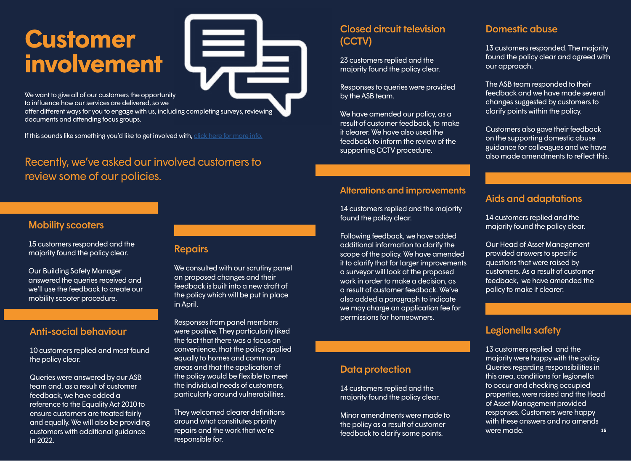# **Customer involvement**

We want to give all of our customers the opportunity to influence how our services are delivered, so we offer different ways for you to engage with us, including completing surveys, reviewing documents and attending focus groups.

If this sounds like something you'd like to get involved with, [click here for more info.](https://www.magna.org.uk/community/get-involved-at-magna)

### Recently, we've asked our involved customers to review some of our policies.

### **Mobility scooters**

15 customers responded and the majority found the policy clear.

Our Building Safety Manager answered the queries received and we'll use the feedback to create our mobility scooter procedure.

### Anti-social behaviour

10 customers replied and most found the policy clear.

customers with additional guidance repairs and the work that we're **the community of the classification** and the work that we're the classification classific classific some points were made. Queries were answered by our ASB team and, as a result of customer feedback, we have added a reference to the Equality Act 2010 to ensure customers are treated fairly and equally. We will also be providing in 2022.

### Repairs

We consulted with our scrutiny panel on proposed changes and their feedback is built into a new draft of the policy which will be put in place in April.

Responses from panel members were positive. They particularly liked the fact that there was a focus on convenience, that the policy applied equally to homes and common areas and that the application of the policy would be flexible to meet the individual needs of customers, particularly around vulnerabilities.

They welcomed clearer definitions around what constitutes priority repairs and the work that we're responsible for.

### Closed circuit television (CCTV)

23 customers replied and the majority found the policy clear.

Responses to queries were provided by the ASB team.

We have amended our policy, as a result of customer feedback, to make it clearer. We have also used the feedback to inform the review of the supporting CCTV procedure.

### Alterations and improvements

14 customers replied and the majority found the policy clear.

Following feedback, we have added additional information to clarify the scope of the policy. We have amended it to clarify that for larger improvements a surveyor will look at the proposed work in order to make a decision, as a result of customer feedback. We've also added a paragraph to indicate we may charge an application fee for permissions for homeowners.

### Data protection

14 customers replied and the majority found the policy clear.

Minor amendments were made to the policy as a result of customer feedback to clarify some points.

### Domestic abuse

13 customers responded. The majority found the policy clear and agreed with our approach.

The ASB team responded to their feedback and we have made several changes suggested by customers to clarify points within the policy.

Customers also gave their feedback on the supporting domestic abuse guidance for colleagues and we have also made amendments to reflect this.

### Aids and adaptations

14 customers replied and the majority found the policy clear.

Our Head of Asset Management provided answers to specific questions that were raised by customers. As a result of customer feedback, we have amended the policy to make it clearer.

### Legionella safety

13 customers replied and the majority were happy with the policy. Queries regarding responsibilities in this area, conditions for legionella to occur and checking occupied properties, were raised and the Head of Asset Management provided responses. Customers were happy with these answers and no amends were made.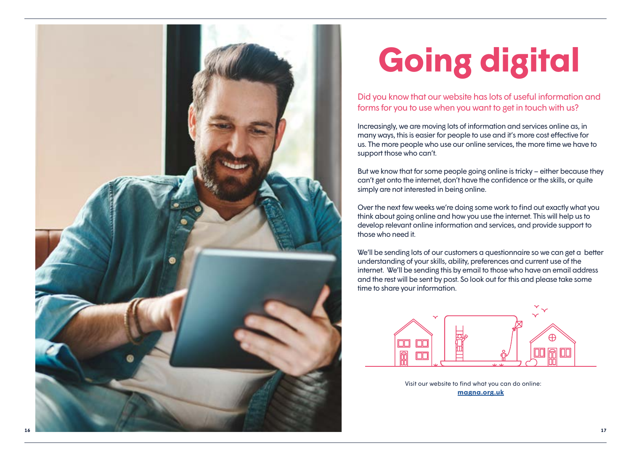

# **Going digital**

Did you know that our website has lots of useful information and forms for you to use when you want to get in touch with us?

Increasingly, we are moving lots of information and services online as, in many ways, this is easier for people to use and it's more cost effective for us. The more people who use our online services, the more time we have to support those who can't.

But we know that for some people going online is tricky – either because they can't get onto the internet, don't have the confidence or the skills, or quite simply are not interested in being online.

Over the next few weeks we're doing some work to find out exactly what you think about going online and how you use the internet. This will help us to develop relevant online information and services, and provide support to those who need it.

We'll be sending lots of our customers a questionnaire so we can get a better understanding of your skills, ability, preferences and current use of the internet. We'll be sending this by email to those who have an email address and the rest will be sent by post. So look out for this and please take some time to share your information.



**[magna.org.uk](http://www.magna.org.uk)** Visit our website to find what you can do online: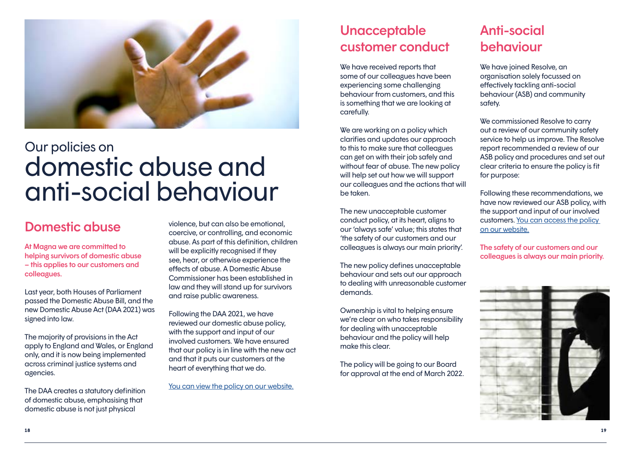

### Our policies on domestic abuse and anti-social behaviour

### Domestic abuse

At Magna we are committed to helping survivors of domestic abuse – this applies to our customers and colleagues.

Last year, both Houses of Parliament passed the Domestic Abuse Bill, and the new Domestic Abuse Act (DAA 2021) was signed into law.

The majority of provisions in the Act apply to England and Wales, or England only, and it is now being implemented across criminal justice systems and agencies.

The DAA creates a statutory definition of domestic abuse, emphasising that domestic abuse is not just physical

violence, but can also be emotional, coercive, or controlling, and economic abuse. As part of this definition, children will be explicitly recognised if they see, hear, or otherwise experience the effects of abuse. A Domestic Abuse Commissioner has been established in law and they will stand up for survivors and raise public awareness.

Following the DAA 2021, we have reviewed our domestic abuse policy, with the support and input of our involved customers. We have ensured that our policy is in line with the new act and that it puts our customers at the heart of everything that we do.

[You can view the policy on our website.](https://www.magna.org.uk/about-us/policy/safeguarding-children-and-adults-at-risk)

### **Unacceptable** customer conduct

We have received reports that some of our colleagues have been experiencing some challenging behaviour from customers, and this is something that we are looking at carefully.

We are working on a policy which clarifies and updates our approach to this to make sure that colleagues can get on with their job safely and without fear of abuse. The new policy will help set out how we will support our colleagues and the actions that will be taken.

The new unacceptable customer conduct policy, at its heart, aligns to our 'always safe' value; this states that 'the safety of our customers and our colleagues is always our main priority'.

The new policy defines unacceptable behaviour and sets out our approach to dealing with unreasonable customer demands.

Ownership is vital to helping ensure we're clear on who takes responsibility for dealing with unacceptable behaviour and the policy will help make this clear.

The policy will be going to our Board for approval at the end of March 2022.

### Anti-social behaviour

We have joined Resolve, an organisation solely focussed on effectively tackling anti-social behaviour (ASB) and community safety.

We commissioned Resolve to carry out a review of our community safety service to help us improve. The Resolve report recommended a review of our ASB policy and procedures and set out clear criteria to ensure the policy is fit for purpose:

Following these recommendations, we have now reviewed our ASB policy, with the support and input of our involved customers. [You can access the policy](https://www.magna.org.uk/about-us/policy/our-anti-social-behaviour-policies-and-procedures)  [on our website.](https://www.magna.org.uk/about-us/policy/our-anti-social-behaviour-policies-and-procedures)

The safety of our customers and our colleagues is always our main priority.

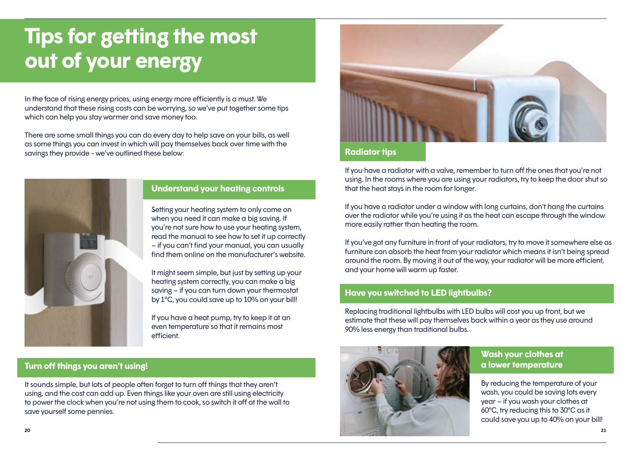## <span id="page-10-0"></span>**Tips for getting the most out of your energy**

In the face of rising energy prices, using energy more efficiently is a must. We understand that these rising costs can be worrying, so we've put together some tips which can help you stay warmer and save money too.

There are some small things you can do every day to help save on your bills, as well as some things you can invest in which will pay themselves back over time with the savings they provide - we've outlined these below:



### **Understand your heating controls**

Setting your heating system to only come on when you need it can make a big saving. If you're not sure how to use your heating system, read the manual to see how to set it up correctly – if you can't find your manual, you can usually find them online on the manufacturer's website.

It might seem simple, but just by setting up your heating system correctly, you can make a big saving – if you can turn down your thermostat by 1°C, you could save up to 10% on your bill!

If you have a heat pump, try to keep it at an even temperature so that it remains most efficient.

### **Turn off things you aren't using!**

It sounds simple, but lots of people often forget to turn off things that they aren't using, and the cost can add up. Even things like your oven are still using electricity to power the clock when you're not using them to cook, so switch it off at the wall to save yourself some pennies.



### **Radiator tips**

If you have a radiator with a valve, remember to turn off the ones that you're not using. In the rooms where you are using your radiators, try to keep the door shut so that the heat stays in the room for longer.

If you have a radiator under a window with long curtains, don't hang the curtains over the radiator while you're using it as the heat can escape through the window more easily rather than heating the room.

If you've got any furniture in front of your radiators, try to move it somewhere else as furniture can absorb the heat from your radiator which means it isn't being spread around the room. By moving it out of the way, your radiator will be more efficient, and your home will warm up faster.

### **Have you switched to LED lightbulbs?**

Replacing traditional lightbulbs with LED bulbs will cost you up front, but we estimate that these will pay themselves back within a year as they use around 90% less energy than traditional bulbs.



### **Wash your clothes at a lower temperature**

By reducing the temperature of your wash, you could be saving lots every year – if you wash your clothes at 60°C, try reducing this to 30°C as it could save you up to 40% on your bill!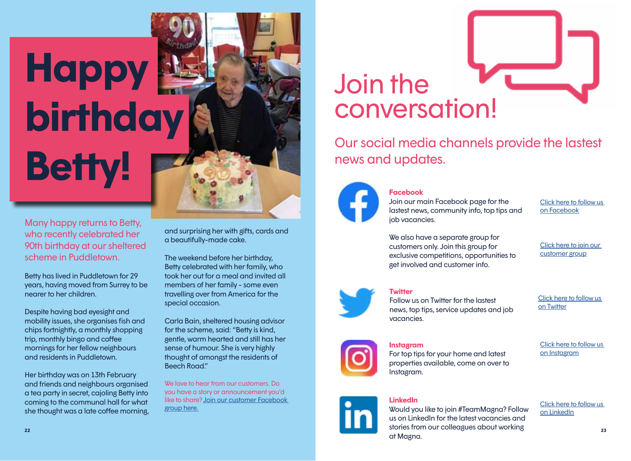# **Happy birthday Betty!**

Many happy returns to Betty, who recently celebrated her 90th birthday at our sheltered scheme in Puddletown.

Betty has lived in Puddletown for 29 years, having moved from Surrey to be nearer to her children.

Despite having bad eyesight and mobility issues, she organises fish and chips fortnightly, a monthly shopping trip, monthly bingo and coffee mornings for her fellow neighbours and residents in Puddletown.

Her birthday was on 13th February and friends and neighbours organised a tea party in secret, cajoling Betty into coming to the communal hall for what she thought was a late coffee morning, and surprising her with gifts, cards and a beautifully-made cake.

The weekend before her birthday, Betty celebrated with her family, who took her out for a meal and invited all members of her family - some even travelling over from America for the special occasion.

Carla Bain, sheltered housing advisor for the scheme, said: "Betty is kind, gentle, warm hearted and still has her sense of humour. She is very highly thought of amongst the residents of Beech Road"

We love to hear from our customers. Do you have a story or announcement you'd like to share? [Join our customer Facebook](https://www.facebook.com/groups/255936712090688)  [group here.](https://www.facebook.com/groups/255936712090688)

# Join the conversation!

Our social media channels provide the lastest news and updates.



### **Facebook**

Join our main Facebook page for the lastest news, community info, top tips and job vacancies.

[Click here to follow us](https://www.facebook.com/magnahousing)  [on Facebook](https://www.facebook.com/magnahousing)

We also have a separate group for customers only. Join this group for exclusive competitions, opportunities to get involved and customer info.

[Click here to](https://www.facebook.com/groups/255936712090688) join our customer group



### **Twitter**

Follow us on Twitter for the lastest news, top tips, service updates and job vacancies.

[Click here to follow us](https://twitter.com/MagnaHousing)  [on](https://twitter.com/MagnaHousing) Twitter



**Instagram**

For top tips for your home and latest properties available, come on over to Instagram.

[Click here to follow us](https://www.instagram.com/magnahousing)  [on](https://www.instagram.com/magnahousing) Instagram



**LinkedIn**

Would you like to join #TeamMagna? Follow us on LinkedIn for the latest vacancies and stories from our colleagues about working at Magna.

[Click here to follow us](https://www.linkedin.com/company/magna-housing-group-ltd)  [on](https://www.linkedin.com/company/magna-housing-group-ltd) LinkedIn